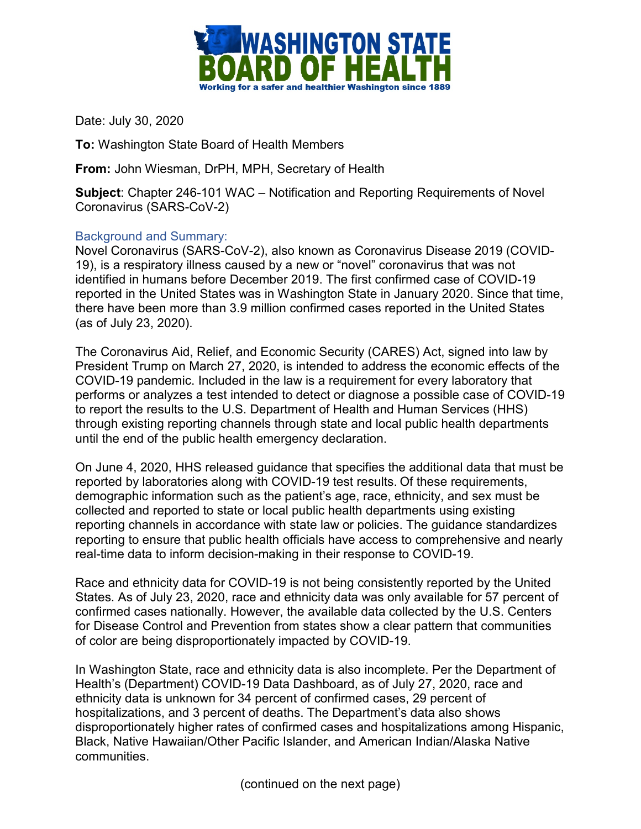

Date: July 30, 2020

**To:** Washington State Board of Health Members

**From:** John Wiesman, DrPH, MPH, Secretary of Health

**Subject**: Chapter 246-101 WAC – Notification and Reporting Requirements of Novel Coronavirus (SARS-CoV-2)

## Background and Summary:

Novel Coronavirus (SARS-CoV-2), also known as Coronavirus Disease 2019 (COVID-19), is a respiratory illness caused by a new or "novel" coronavirus that was not identified in humans before December 2019. The first confirmed case of COVID-19 reported in the United States was in Washington State in January 2020. Since that time, there have been more than 3.9 million confirmed cases reported in the United States (as of July 23, 2020).

The Coronavirus Aid, Relief, and Economic Security (CARES) Act, signed into law by President Trump on March 27, 2020, is intended to address the economic effects of the COVID-19 pandemic. Included in the law is a requirement for every laboratory that performs or analyzes a test intended to detect or diagnose a possible case of COVID-19 to report the results to the U.S. Department of Health and Human Services (HHS) through existing reporting channels through state and local public health departments until the end of the public health emergency declaration.

On June 4, 2020, HHS released guidance that specifies the additional data that must be reported by laboratories along with COVID-19 test results. Of these requirements, demographic information such as the patient's age, race, ethnicity, and sex must be collected and reported to state or local public health departments using existing reporting channels in accordance with state law or policies. The guidance standardizes reporting to ensure that public health officials have access to comprehensive and nearly real-time data to inform decision-making in their response to COVID-19.

Race and ethnicity data for COVID-19 is not being consistently reported by the United States. As of July 23, 2020, race and ethnicity data was only available for 57 percent of confirmed cases nationally. However, the available data collected by the U.S. Centers for Disease Control and Prevention from states show a clear pattern that communities of color are being disproportionately impacted by COVID-19.

In Washington State, race and ethnicity data is also incomplete. Per the Department of Health's (Department) COVID-19 Data Dashboard, as of July 27, 2020, race and ethnicity data is unknown for 34 percent of confirmed cases, 29 percent of hospitalizations, and 3 percent of deaths. The Department's data also shows disproportionately higher rates of confirmed cases and hospitalizations among Hispanic, Black, Native Hawaiian/Other Pacific Islander, and American Indian/Alaska Native communities.